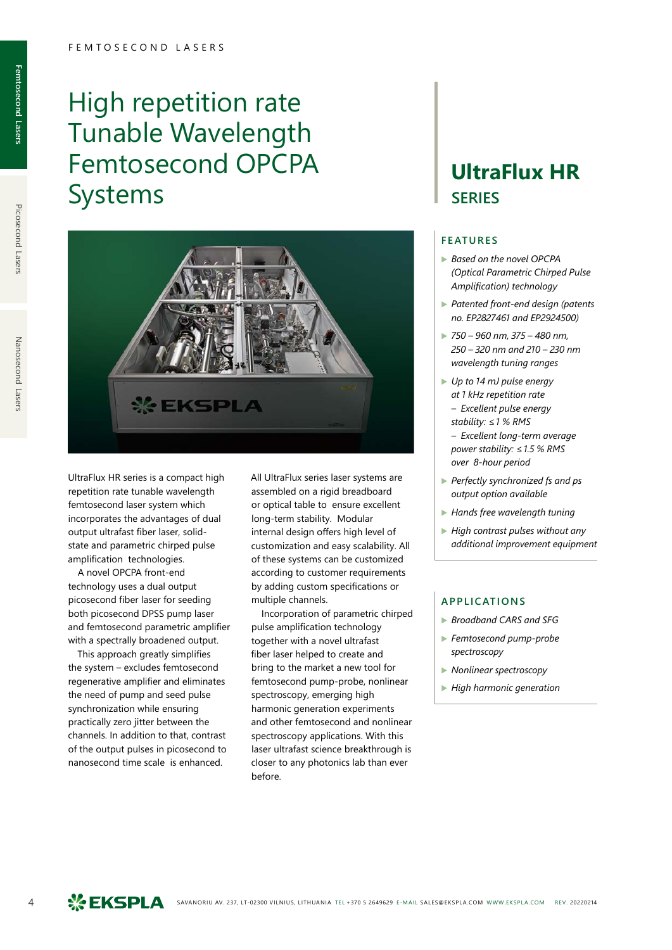# High repetition rate Tunable Wavelength Femtosecond OPCPA Systems



UltraFlux HR series is a compact high repetition rate tunable wavelength femtosecond laser system which incorporates the advantages of dual output ultrafast fiber laser, solidstate and parametric chirped pulse amplification technologies.

A novel OPCPA front-end technology uses a dual output picosecond fiber laser for seeding both picosecond DPSS pump laser and femtosecond parametric amplifier with a spectrally broadened output.

This approach greatly simplifies the system – excludes femtosecond regenerative amplifier and eliminates the need of pump and seed pulse synchronization while ensuring practically zero jitter between the channels. In addition to that, contrast of the output pulses in picosecond to nanosecond time scale is enhanced.

All UltraFlux series laser systems are assembled on a rigid breadboard or optical table to ensure excellent long-term stability. Modular internal design offers high level of customization and easy scalability. All of these systems can be customized according to customer requirements by adding custom specifications or multiple channels.

Incorporation of parametric chirped pulse amplification technology together with a novel ultrafast fiber laser helped to create and bring to the market a new tool for femtosecond pump-probe, nonlinear spectroscopy, emerging high harmonic generation experiments and other femtosecond and nonlinear spectroscopy applications. With this laser ultrafast science breakthrough is closer to any photonics lab than ever before.

### **UltraFlux HR SERIES**

#### **FEATURES**

- ▶ *Based on the novel OPCPA (Optical Parametric Chirped Pulse Amplification) technology*
- ▶ *Patented front-end design (patents no. EP2827461 and EP2924500)*
- ▶ *750 960 nm, 375 480 nm, 250 – 320 nm and 210 – 230 nm wavelength tuning ranges*
- ▶ *Up to 14 mJ pulse energy at 1 kHz repetition rate – Excellent pulse energy stability: ≤1 % RMS – Excellent long-term average power stability: ≤1.5 % RMS over 8-hour period*
- ▶ *Perfectly synchronized fs and ps output option available*
- ▶ *Hands free wavelength tuning*
- ▶ *High contrast pulses without any additional improvement equipment*

#### **APPLICATIONS**

- ▶ *Broadband CARS and SFG*
- ▶ *Femtosecond pump-probe spectroscopy*
- ▶ *Nonlinear spectroscopy*
- ▶ *High harmonic generation*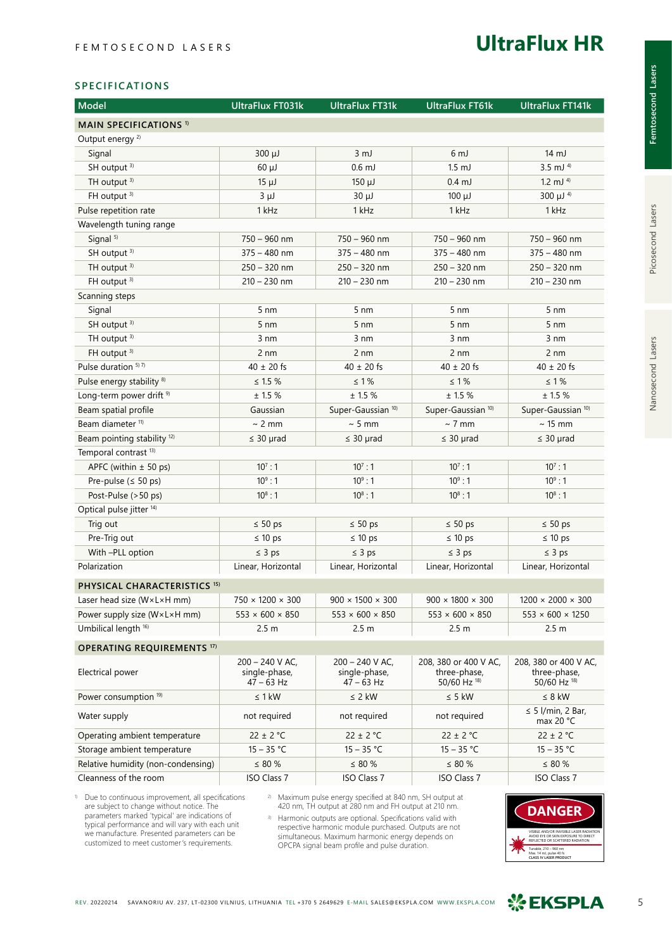### **UltraFlux HR**

#### **SPECIFICATIONS**

| <b>Model</b>                            | <b>UltraFlux FT031k</b>                            | <b>UltraFlux FT31k</b>                           | <b>UltraFlux FT61k</b>                                | <b>UltraFlux FT141k</b>                               |
|-----------------------------------------|----------------------------------------------------|--------------------------------------------------|-------------------------------------------------------|-------------------------------------------------------|
| <b>MAIN SPECIFICATIONS 1)</b>           |                                                    |                                                  |                                                       |                                                       |
| Output energy <sup>2)</sup>             |                                                    |                                                  |                                                       |                                                       |
| Signal                                  | $300 \mu J$                                        | $3 \, \text{mJ}$                                 | 6 <sub>mJ</sub>                                       | 14 mJ                                                 |
| SH output <sup>3)</sup>                 | $60 \mu J$                                         | $0.6$ mJ                                         | $1.5$ mJ                                              | $3.5$ mJ <sup>4)</sup>                                |
| TH output <sup>3)</sup>                 | $15 \mu J$                                         | $150 \mu J$                                      | $0.4$ mJ                                              | 1.2 mJ $4$                                            |
| FH output <sup>3)</sup>                 | $3 \mu J$                                          | $30 \mu J$                                       | $100 \mu J$                                           | $300 \mu J$ <sup>4)</sup>                             |
| Pulse repetition rate                   | 1 kHz                                              | 1 kHz                                            | 1 kHz                                                 | 1 kHz                                                 |
| Wavelength tuning range                 |                                                    |                                                  |                                                       |                                                       |
| Signal <sup>5)</sup>                    | 750 - 960 nm                                       | 750 - 960 nm                                     | 750 - 960 nm                                          | 750 - 960 nm                                          |
| SH output 3)                            | $375 - 480$ nm                                     | $375 - 480$ nm                                   | $375 - 480$ nm                                        | $375 - 480$ nm                                        |
| TH output 3)                            | $250 - 320$ nm                                     | $250 - 320$ nm                                   | $250 - 320$ nm                                        | $250 - 320$ nm                                        |
| FH output <sup>3)</sup>                 | $210 - 230$ nm                                     | $210 - 230$ nm                                   | $210 - 230$ nm                                        | $210 - 230$ nm                                        |
| Scanning steps                          |                                                    |                                                  |                                                       |                                                       |
| Signal                                  | $5 \, \text{nm}$                                   | 5 <sub>nm</sub>                                  | $5 \text{ nm}$                                        | $5 \, \text{nm}$                                      |
| SH output 3)                            | $5 \text{ nm}$                                     | $5 \text{ nm}$                                   | $5 \text{ nm}$                                        | $5 \text{ nm}$                                        |
| TH output <sup>3)</sup>                 | 3 nm                                               | $3 \, \text{nm}$                                 | $3 \, \text{nm}$                                      | $3 \, \text{nm}$                                      |
| FH output <sup>3)</sup>                 | 2 nm                                               | 2 nm                                             | 2 nm                                                  | 2 nm                                                  |
| Pulse duration 5) 7)                    | $40 \pm 20$ fs                                     | $40 \pm 20$ fs                                   | $40 \pm 20$ fs                                        | $40 \pm 20$ fs                                        |
| Pulse energy stability <sup>8)</sup>    | $\leq$ 1.5 $\%$                                    | $\leq 1\,\%$                                     | $\leq 1\%$                                            | $\leq 1\,\%$                                          |
| Long-term power drift <sup>9)</sup>     | $\pm$ 1.5 %                                        | ± 1.5 %                                          | $\pm$ 1.5 $\%$                                        | ± 1.5%                                                |
| Beam spatial profile                    | Gaussian                                           | Super-Gaussian <sup>10)</sup>                    | Super-Gaussian <sup>10)</sup>                         | Super-Gaussian <sup>10)</sup>                         |
| Beam diameter <sup>11)</sup>            | $\sim$ 2 mm                                        | $~5$ mm                                          | $\sim$ 7 mm                                           | $\sim$ 15 mm                                          |
| Beam pointing stability <sup>12)</sup>  | $\leq 30$ µrad                                     | $\leq 30$ µrad                                   | $\leq 30$ µrad                                        | $\leq 30$ µrad                                        |
| Temporal contrast <sup>13)</sup>        |                                                    |                                                  |                                                       |                                                       |
| APFC (within $\pm$ 50 ps)               | $10^7:1$                                           | $10^7:1$                                         | $10^7:1$                                              | $10^7:1$                                              |
| Pre-pulse ( $\leq$ 50 ps)               | $10^9:1$                                           | $10^9:1$                                         | $10^9:1$                                              | $10^9:1$                                              |
| Post-Pulse (>50 ps)                     | $10^8:1$                                           | $10^8:1$                                         | $10^8:1$                                              | $10^8:1$                                              |
| Optical pulse jitter <sup>14)</sup>     |                                                    |                                                  |                                                       |                                                       |
| Trig out                                | $\leq 50$ ps                                       | $\leq 50$ ps                                     | $\leq 50$ ps                                          | $\leq 50$ ps                                          |
| Pre-Trig out                            | $\leq 10$ ps                                       | $\leq 10$ ps                                     | $\leq 10$ ps                                          | $\leq 10$ ps                                          |
| With -PLL option                        | $\leq$ 3 ps                                        | $\leq 3$ ps                                      | $\leq$ 3 ps                                           | $\leq 3$ ps                                           |
| Polarization                            | Linear, Horizontal                                 | Linear, Horizontal                               | Linear, Horizontal                                    | Linear, Horizontal                                    |
| PHYSICAL CHARACTERISTICS <sup>15)</sup> |                                                    |                                                  |                                                       |                                                       |
| Laser head size (WxLxH mm)              | $750 \times 1200 \times 300$                       | $900 \times 1500 \times 300$                     | $900 \times 1800 \times 300$                          | $1200 \times 2000 \times 300$                         |
| Power supply size (W×L×H mm)            | $553 \times 600 \times 850$                        | $553 \times 600 \times 850$                      | $553 \times 600 \times 850$                           | $553 \times 600 \times 1250$                          |
| Umbilical length 16)                    | 2.5 <sub>m</sub>                                   | 2.5 <sub>m</sub>                                 | 2.5 <sub>m</sub>                                      | 2.5 <sub>m</sub>                                      |
|                                         |                                                    |                                                  |                                                       |                                                       |
| <b>OPERATING REQUIREMENTS 17)</b>       |                                                    |                                                  |                                                       |                                                       |
| Electrical power                        | $200 - 240$ V AC,<br>single-phase,<br>$47 - 63$ Hz | $200 - 240$ V AC,<br>single-phase,<br>47 – 63 Hz | 208, 380 or 400 V AC,<br>three-phase,<br>50/60 Hz 18) | 208, 380 or 400 V AC,<br>three-phase,<br>50/60 Hz 18) |
| Power consumption <sup>19)</sup>        | $\leq 1$ kW                                        | $\leq$ 2 kW                                      | $\leq$ 5 kW                                           | $\leq 8$ kW                                           |
| Water supply                            | not required                                       | not required                                     | not required                                          | $\leq$ 5 l/min, 2 Bar,<br>max 20 °C                   |
| Operating ambient temperature           | $22 \pm 2$ °C                                      | $22 \pm 2$ °C                                    | $22 \pm 2$ °C                                         | $22 \pm 2$ °C                                         |
| Storage ambient temperature             | $15 - 35 °C$                                       | $15 - 35 °C$                                     | $15 - 35 °C$                                          | $15 - 35 °C$                                          |
| Relative humidity (non-condensing)      | $\leq$ 80 %                                        | $\leq 80 \%$                                     | $\leq 80 \%$                                          | $\leq 80$ %                                           |
| Cleanness of the room                   | ISO Class 7                                        | ISO Class 7                                      | ISO Class 7                                           | ISO Class 7                                           |

1) Due to continuous improvement, all specifications are subject to change without notice. The parameters marked 'typical' are indications of typical performance and will vary with each unit we manufacture. Presented parameters can be customized to meet customer's requirements.

2) Maximum pulse energy specified at 840 nm, SH output at 420 nm, TH output at 280 nm and FH output at 210 nm.

3) Harmonic outputs are optional. Specifications valid with respective harmonic module purchased. Outputs are not simultaneous. Maximum harmonic energy depends on OPCPA signal beam profile and pulse duration.



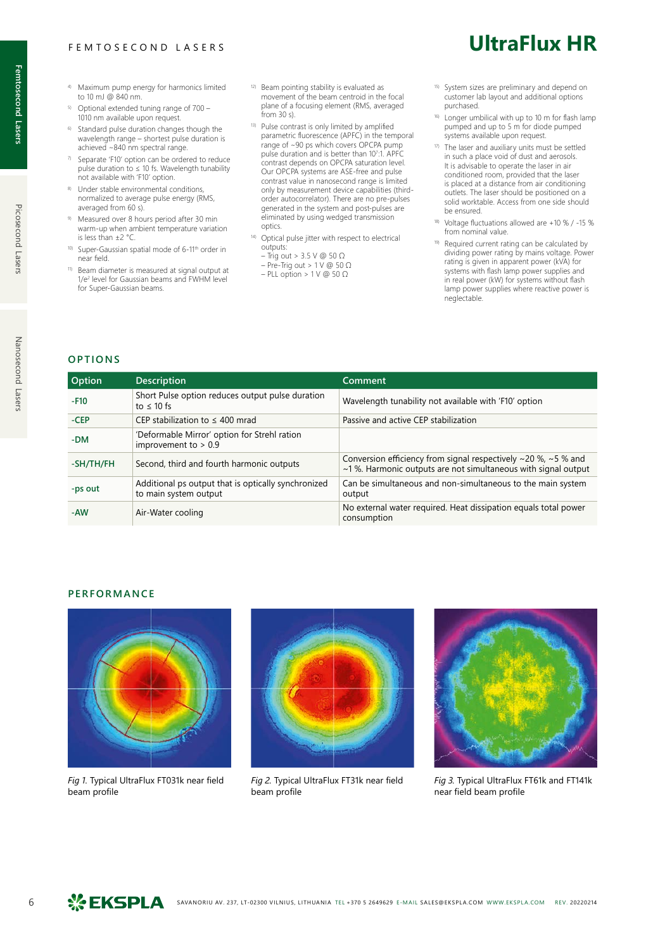#### FEMTOSECOND LASERS

- 4) Maximum pump energy for harmonics limited to 10 mJ @ 840 nm.
- 5) Optional extended tuning range of 700 1010 nm available upon request.
- 6) Standard pulse duration changes though the wavelength range – shortest pulse duration is achieved ~840 nm spectral range.
- $\frac{7}{2}$  Separate 'F10' option can be ordered to reduce pulse duration to  $\leq 10$  fs. Wavelength tunability not available with 'F10' option.
- 8) Under stable environmental conditions normalized to average pulse energy (RMS, averaged from 60 s).
- 9) Measured over 8 hours period after 30 min warm-up when ambient temperature variation is less than ±2 °C.
- 10) Super-Gaussian spatial mode of 6-11<sup>th</sup> order in near field.
- 11) Beam diameter is measured at signal output at 1/e2 level for Gaussian beams and FWHM level for Super-Gaussian beams.
- 12) Beam pointing stability is evaluated as movement of the beam centroid in the focal plane of a focusing element (RMS, averaged from 30 s).
- 13) Pulse contrast is only limited by amplified parametric fluorescence (APFC) in the temporal range of ~90 ps which covers OPCPA pump pulse duration and is better than 10<sup>7</sup> :1. APFC contrast depends on OPCPA saturation level. Our OPCPA systems are ASE-free and pulse contrast value in nanosecond range is limited only by measurement device capabilities (thirdorder autocorrelator). There are no pre-pulses generated in the system and post-pulses are eliminated by using wedged transmission optics.
- 14) Optical pulse jitter with respect to electrical outputs:
	- Trig out > 3.5 V @ 50 Ω
	- Pre-Trig out > 1 V @ 50 Ω – PLL option > 1 V @ 50 Ω

**UltraFlux HR**

- System sizes are preliminary and depend on customer lab layout and additional options purchased.
- 16) Longer umbilical with up to 10 m for flash lamp pumped and up to 5 m for diode pumped systems available upon request.
- 17) The laser and auxiliary units must be settled in such a place void of dust and aerosols. It is advisable to operate the laser in air conditioned room, provided that the laser is placed at a distance from air conditioning outlets. The laser should be positioned on a solid worktable. Access from one side should be ensured.
- Voltage fluctuations allowed are +10 % / -15 % from nominal value.
- 19) Required current rating can be calculated by dividing power rating by mains voltage. Power rating is given in apparent power (kVA) for systems with flash lamp power supplies and in real power (kW) for systems without flash lamp power supplies where reactive power is neglectable.

#### **OPTIONS**

| Option    | <b>Description</b>                                                           | Comment                                                                                                                         |
|-----------|------------------------------------------------------------------------------|---------------------------------------------------------------------------------------------------------------------------------|
| $-F10$    | Short Pulse option reduces output pulse duration<br>to $\leq 10$ fs          | Wavelength tunability not available with 'F10' option                                                                           |
| $-CEP$    | CEP stabilization to $\leq 400$ mrad                                         | Passive and active CEP stabilization                                                                                            |
| $-DM$     | 'Deformable Mirror' option for Strehl ration<br>improvement to $> 0.9$       |                                                                                                                                 |
| -SH/TH/FH | Second, third and fourth harmonic outputs                                    | Conversion efficiency from signal respectively ~20 %, ~5 % and<br>~1%. Harmonic outputs are not simultaneous with signal output |
| -ps out   | Additional ps output that is optically synchronized<br>to main system output | Can be simultaneous and non-simultaneous to the main system<br>output                                                           |
| -AW       | Air-Water cooling                                                            | No external water required. Heat dissipation equals total power<br>consumption                                                  |

#### **PERFORMANCE**



*Fig 1.* Typical UltraFlux FT031k near field beam profile



*Fig 2.* Typical UltraFlux FT31k near field beam profile



*Fig 3.* Typical UltraFlux FT61k and FT141k near field beam profile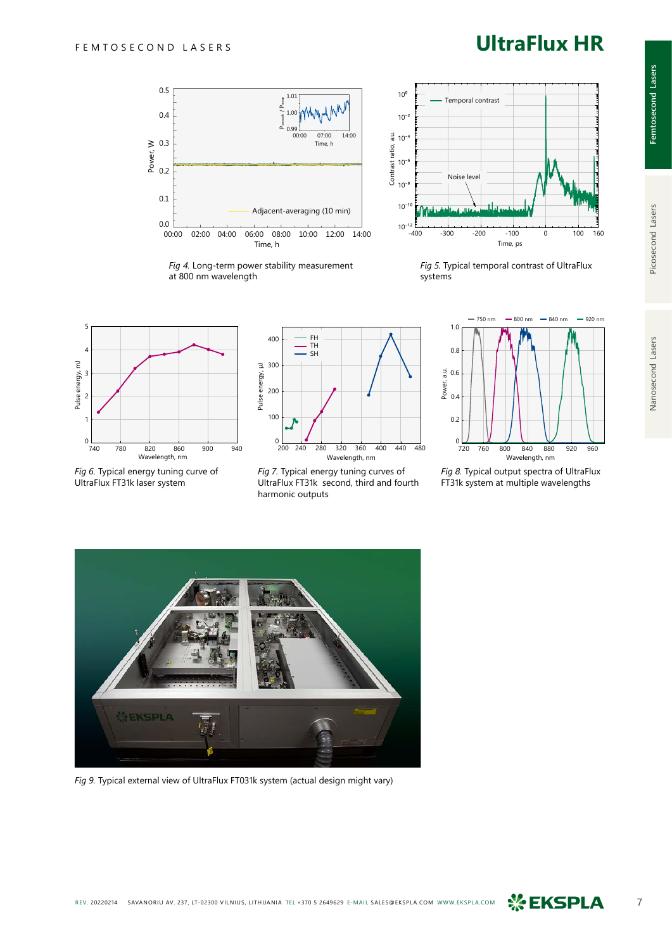## **UltraFlux HR**



*Fig 4.* Long-term power stability measurement at 800 nm wavelength



*Fig 5.* Typical temporal contrast of UltraFlux systems



*Fig 6.* Typical energy tuning curve of UltraFlux FT31k laser system



*Fig 7.* Typical energy tuning curves of UltraFlux FT31k second, third and fourth harmonic outputs



*Fig 8.* Typical output spectra of UltraFlux FT31k system at multiple wavelengths



*Fig 9.* Typical external view of UltraFlux FT031k system (actual design might vary)